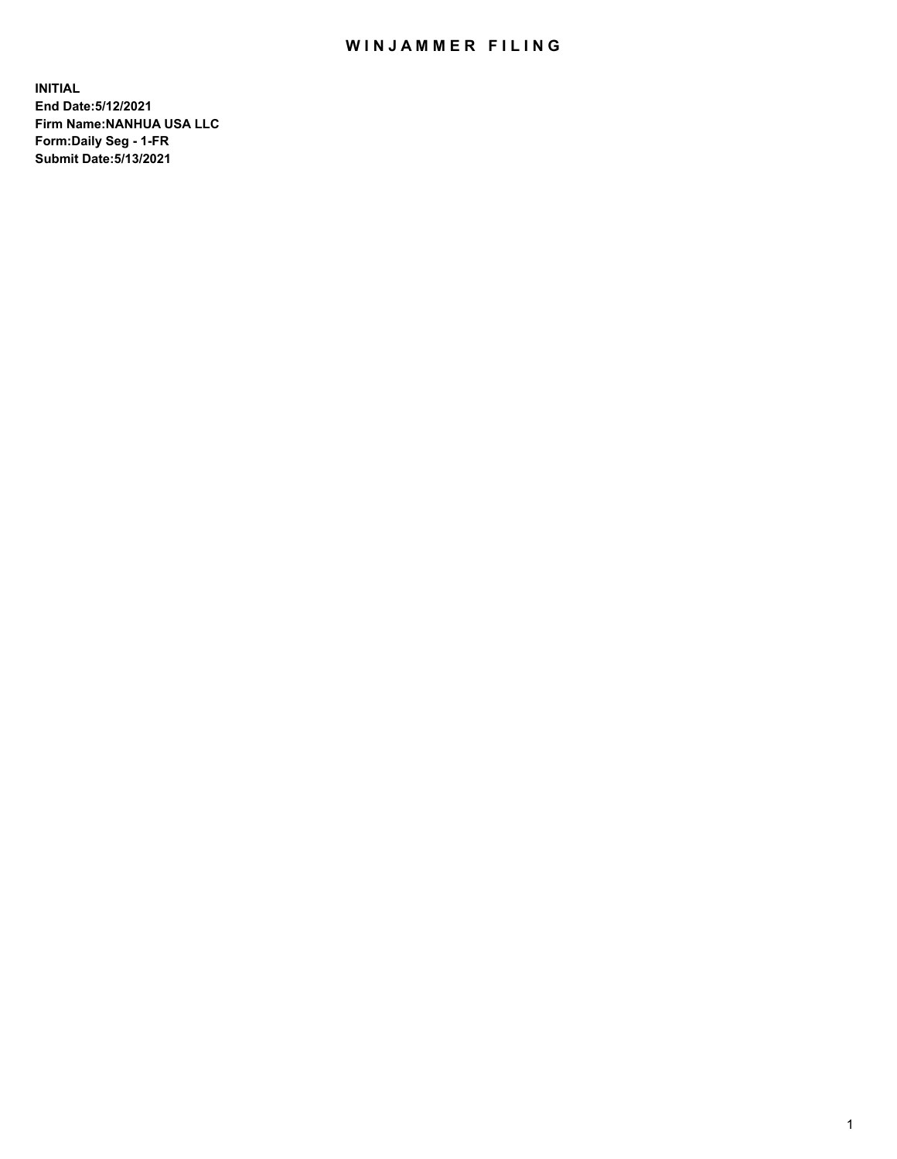## WIN JAMMER FILING

**INITIAL End Date:5/12/2021 Firm Name:NANHUA USA LLC Form:Daily Seg - 1-FR Submit Date:5/13/2021**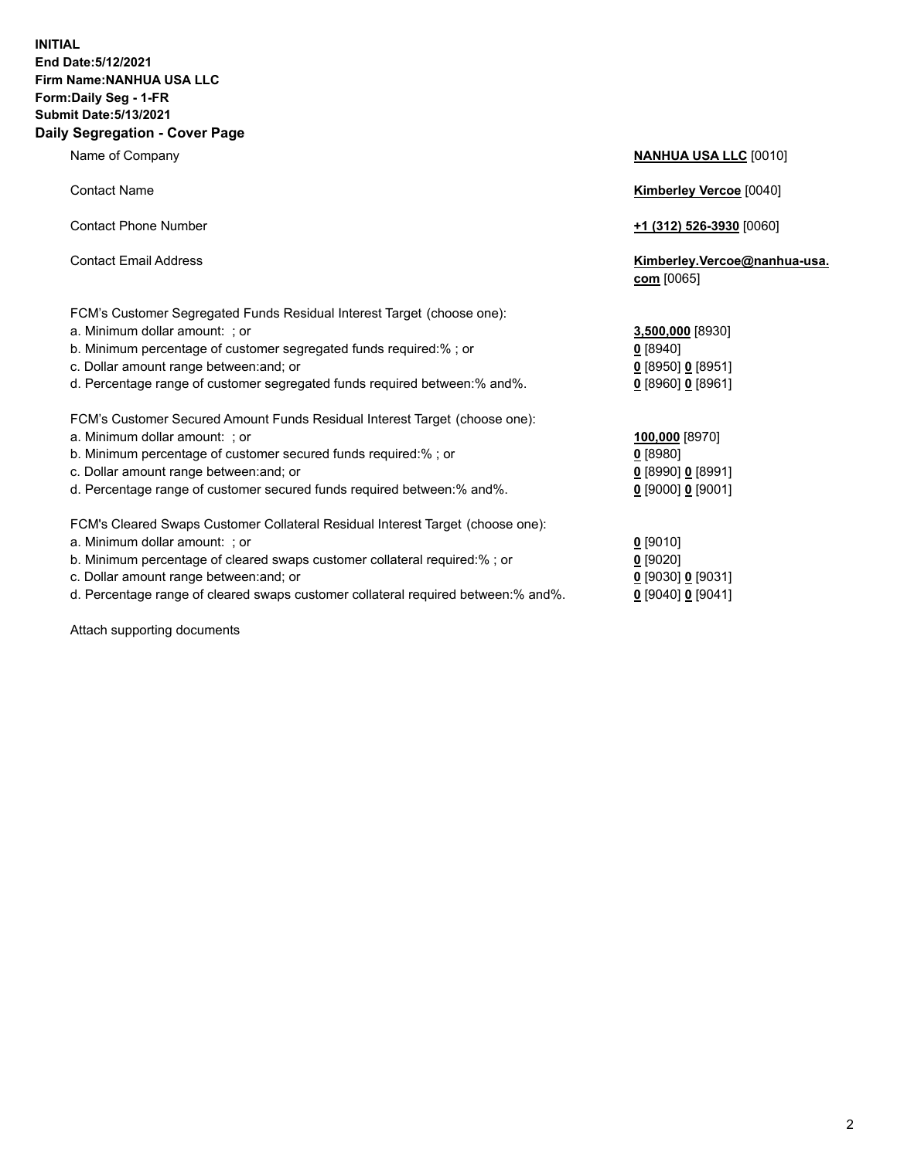## **INITIAL End Date:5/12/2021 Firm Name:NANHUA USA LLC Form:Daily Seg - 1-FR Submit Date:5/13/2021 Daily Segregation - Cover Page**

Name of Company **NANHUA USA LLC** [0010]

| <b>Contact Name</b>                                                            | <b>Kimberley Vercoe [0040]</b>             |
|--------------------------------------------------------------------------------|--------------------------------------------|
| <b>Contact Phone Number</b>                                                    | <u>+1 (312) 526-3930</u> [0060]            |
| <b>Contact Email Address</b>                                                   | Kimberley.Vercoe@nanhua-usa.<br>com [0065] |
| FCM's Customer Segregated Funds Residual Interest Target (choose one):         |                                            |
| a. Minimum dollar amount: ; or                                                 | 3,500,000 [8930]                           |
| b. Minimum percentage of customer segregated funds required:% ; or             | 0 [8940]                                   |
| c. Dollar amount range between: and; or                                        | $0$ [8950] $0$ [8951]                      |
| d. Percentage range of customer segregated funds required between:% and%.      | $0$ [8960] 0 [8961]                        |
| FCM's Customer Secured Amount Funds Residual Interest Target (choose one):     |                                            |
| a. Minimum dollar amount: ; or                                                 | 100,000 [8970]                             |
| b. Minimum percentage of customer secured funds required:%; or                 | $0$ [8980]                                 |
| c. Dollar amount range between: and; or                                        | $0$ [8990] $0$ [8991]                      |
| d. Percentage range of customer secured funds required between: % and %.       | $0$ [9000] 0 [9001]                        |
| FCM's Cleared Swaps Customer Collateral Residual Interest Target (choose one): |                                            |
| a. Minimum dollar amount: ; or                                                 | $0$ [9010]                                 |
| b. Minimum percentage of cleared swaps customer collateral required:%; or      | $0$ [9020]                                 |
|                                                                                |                                            |

- c. Dollar amount range between:and; or **0** [9030] **0** [9031]
- d. Percentage range of cleared swaps customer collateral required between:% and%. **0** [9040] **0** [9041]

Attach supporting documents

| [9010]                 |
|------------------------|
| [9020]                 |
| [9030] <b>0</b> [9031] |
| 190401 <b>0</b> 190411 |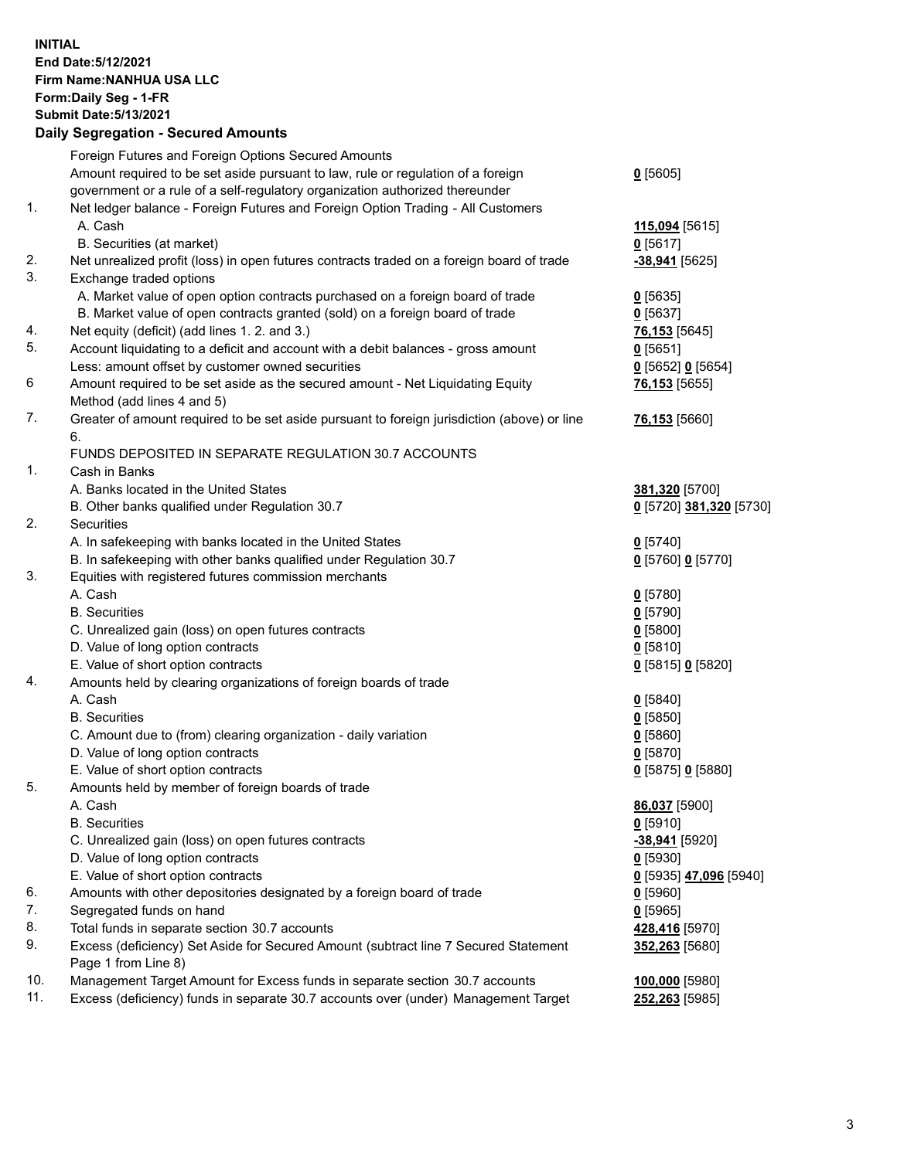## **INITIAL End Date:5/12/2021 Firm Name:NANHUA USA LLC Form:Daily Seg - 1-FR Submit Date:5/13/2021 Daily Segregation - Secured Amounts**

|     | Foreign Futures and Foreign Options Secured Amounts                                         |                         |
|-----|---------------------------------------------------------------------------------------------|-------------------------|
|     | Amount required to be set aside pursuant to law, rule or regulation of a foreign            | $0$ [5605]              |
|     | government or a rule of a self-regulatory organization authorized thereunder                |                         |
| 1.  | Net ledger balance - Foreign Futures and Foreign Option Trading - All Customers             |                         |
|     | A. Cash                                                                                     | 115,094 [5615]          |
|     | B. Securities (at market)                                                                   | $0$ [5617]              |
| 2.  | Net unrealized profit (loss) in open futures contracts traded on a foreign board of trade   | -38,941 [5625]          |
| 3.  | Exchange traded options                                                                     |                         |
|     | A. Market value of open option contracts purchased on a foreign board of trade              | $0$ [5635]              |
|     | B. Market value of open contracts granted (sold) on a foreign board of trade                | $0$ [5637]              |
| 4.  | Net equity (deficit) (add lines 1. 2. and 3.)                                               | 76,153 [5645]           |
| 5.  | Account liquidating to a deficit and account with a debit balances - gross amount           | $0$ [5651]              |
|     | Less: amount offset by customer owned securities                                            | 0 [5652] 0 [5654]       |
| 6   | Amount required to be set aside as the secured amount - Net Liquidating Equity              | 76,153 [5655]           |
|     | Method (add lines 4 and 5)                                                                  |                         |
| 7.  | Greater of amount required to be set aside pursuant to foreign jurisdiction (above) or line | 76,153 [5660]           |
|     | 6.                                                                                          |                         |
|     | FUNDS DEPOSITED IN SEPARATE REGULATION 30.7 ACCOUNTS                                        |                         |
| 1.  | Cash in Banks                                                                               |                         |
|     | A. Banks located in the United States                                                       | 381,320 [5700]          |
|     | B. Other banks qualified under Regulation 30.7                                              | 0 [5720] 381,320 [5730] |
| 2.  | Securities                                                                                  |                         |
|     | A. In safekeeping with banks located in the United States                                   | $0$ [5740]              |
|     | B. In safekeeping with other banks qualified under Regulation 30.7                          | 0 [5760] 0 [5770]       |
| 3.  | Equities with registered futures commission merchants                                       |                         |
|     | A. Cash                                                                                     | $0$ [5780]              |
|     | <b>B.</b> Securities                                                                        | $0$ [5790]              |
|     | C. Unrealized gain (loss) on open futures contracts                                         | $0$ [5800]              |
|     | D. Value of long option contracts                                                           | $0$ [5810]              |
|     | E. Value of short option contracts                                                          | 0 [5815] 0 [5820]       |
| 4.  | Amounts held by clearing organizations of foreign boards of trade                           |                         |
|     | A. Cash                                                                                     | $0$ [5840]              |
|     | <b>B.</b> Securities                                                                        | $0$ [5850]              |
|     | C. Amount due to (from) clearing organization - daily variation                             | 0[5860]                 |
|     | D. Value of long option contracts                                                           | $0$ [5870]              |
|     | E. Value of short option contracts                                                          | 0 [5875] 0 [5880]       |
| 5.  | Amounts held by member of foreign boards of trade                                           |                         |
|     | A. Cash                                                                                     | 86,037 [5900]           |
|     | <b>B.</b> Securities                                                                        | $0$ [5910]              |
|     | C. Unrealized gain (loss) on open futures contracts                                         | -38,941 [5920]          |
|     | D. Value of long option contracts                                                           | $0$ [5930]              |
|     | E. Value of short option contracts                                                          | 0 [5935] 47,096 [5940]  |
| 6.  | Amounts with other depositories designated by a foreign board of trade                      | $0$ [5960]              |
| 7.  | Segregated funds on hand                                                                    | $0$ [5965]              |
| 8.  | Total funds in separate section 30.7 accounts                                               | 428,416 [5970]          |
| 9.  | Excess (deficiency) Set Aside for Secured Amount (subtract line 7 Secured Statement         | 352,263 [5680]          |
|     | Page 1 from Line 8)                                                                         |                         |
| 10. | Management Target Amount for Excess funds in separate section 30.7 accounts                 | 100,000 [5980]          |
| 11. | Excess (deficiency) funds in separate 30.7 accounts over (under) Management Target          | 252,263 [5985]          |
|     |                                                                                             |                         |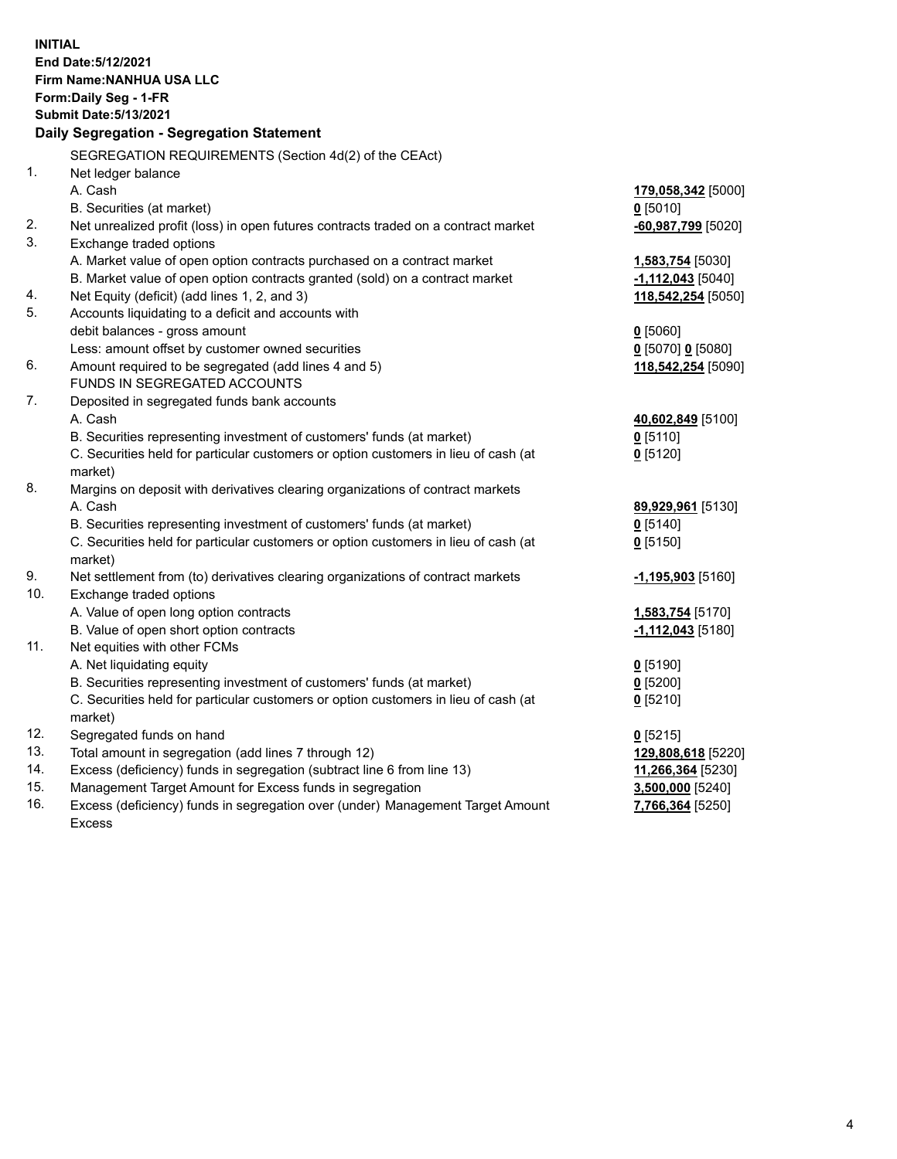| <b>INITIAL</b> | End Date: 5/12/2021<br>Firm Name: NANHUA USA LLC<br>Form: Daily Seg - 1-FR<br><b>Submit Date: 5/13/2021</b><br>Daily Segregation - Segregation Statement |                     |
|----------------|----------------------------------------------------------------------------------------------------------------------------------------------------------|---------------------|
|                | SEGREGATION REQUIREMENTS (Section 4d(2) of the CEAct)                                                                                                    |                     |
| 1.             | Net ledger balance                                                                                                                                       |                     |
|                | A. Cash                                                                                                                                                  | 179,058,342 [5000]  |
|                | B. Securities (at market)                                                                                                                                | $0$ [5010]          |
| 2.             | Net unrealized profit (loss) in open futures contracts traded on a contract market                                                                       | -60,987,799 [5020]  |
| 3.             | Exchange traded options                                                                                                                                  |                     |
|                | A. Market value of open option contracts purchased on a contract market                                                                                  | 1,583,754 [5030]    |
|                | B. Market value of open option contracts granted (sold) on a contract market                                                                             | $-1,112,043$ [5040] |
| 4.             | Net Equity (deficit) (add lines 1, 2, and 3)                                                                                                             | 118,542,254 [5050]  |
| 5.             | Accounts liquidating to a deficit and accounts with                                                                                                      |                     |
|                | debit balances - gross amount                                                                                                                            | $0$ [5060]          |
|                | Less: amount offset by customer owned securities                                                                                                         | 0 [5070] 0 [5080]   |
| 6.             | Amount required to be segregated (add lines 4 and 5)                                                                                                     | 118,542,254 [5090]  |
| 7.             | FUNDS IN SEGREGATED ACCOUNTS                                                                                                                             |                     |
|                | Deposited in segregated funds bank accounts<br>A. Cash                                                                                                   | 40,602,849 [5100]   |
|                | B. Securities representing investment of customers' funds (at market)                                                                                    | $0$ [5110]          |
|                | C. Securities held for particular customers or option customers in lieu of cash (at                                                                      | $0$ [5120]          |
|                | market)                                                                                                                                                  |                     |
| 8.             | Margins on deposit with derivatives clearing organizations of contract markets                                                                           |                     |
|                | A. Cash                                                                                                                                                  | 89,929,961 [5130]   |
|                | B. Securities representing investment of customers' funds (at market)                                                                                    | $0$ [5140]          |
|                | C. Securities held for particular customers or option customers in lieu of cash (at                                                                      | $0$ [5150]          |
|                | market)                                                                                                                                                  |                     |
| 9.             | Net settlement from (to) derivatives clearing organizations of contract markets                                                                          | $-1,195,903$ [5160] |
| 10.            | Exchange traded options                                                                                                                                  |                     |
|                | A. Value of open long option contracts                                                                                                                   | 1,583,754 [5170]    |
|                | B. Value of open short option contracts                                                                                                                  | $-1,112,043$ [5180] |
| 11.            | Net equities with other FCMs                                                                                                                             |                     |
|                | A. Net liquidating equity                                                                                                                                | $0$ [5190]          |
|                | B. Securities representing investment of customers' funds (at market)                                                                                    | $0$ [5200]          |
|                | C. Securities held for particular customers or option customers in lieu of cash (at                                                                      | $0$ [5210]          |
|                | market)                                                                                                                                                  |                     |
| 12.            | Segregated funds on hand                                                                                                                                 | $0$ [5215]          |
| 13.            | Total amount in segregation (add lines 7 through 12)                                                                                                     | 129,808,618 [5220]  |
| 14.            | Excess (deficiency) funds in segregation (subtract line 6 from line 13)                                                                                  | 11,266,364 [5230]   |
| 15.            | Management Target Amount for Excess funds in segregation                                                                                                 | 3,500,000 [5240]    |
| 16.            | Excess (deficiency) funds in segregation over (under) Management Target Amount                                                                           | 7,766,364 [5250]    |
|                | <b>Excess</b>                                                                                                                                            |                     |